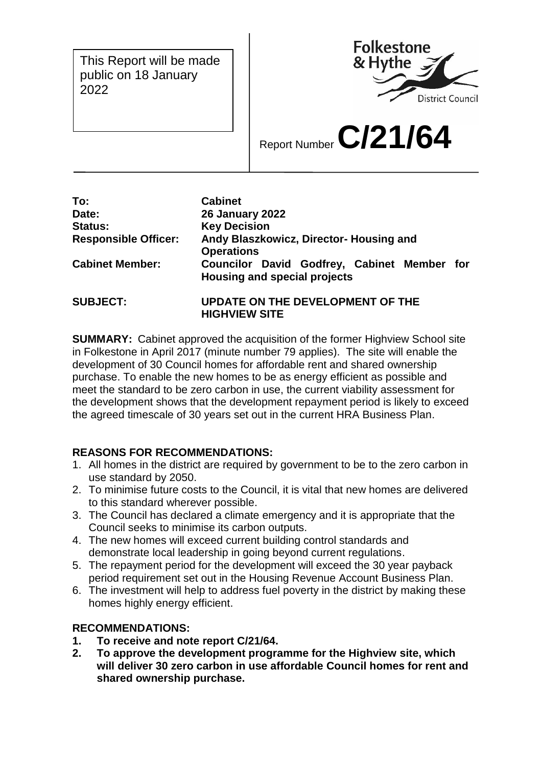This Report will be made public on 18 January 2022



Report Number **C/21/64**

| To:                         | <b>Cabinet</b>                                                              |  |  |  |
|-----------------------------|-----------------------------------------------------------------------------|--|--|--|
| Date:                       | <b>26 January 2022</b>                                                      |  |  |  |
| <b>Status:</b>              | <b>Key Decision</b>                                                         |  |  |  |
| <b>Responsible Officer:</b> | Andy Blaszkowicz, Director- Housing and<br><b>Operations</b>                |  |  |  |
| <b>Cabinet Member:</b>      | Councilor David Godfrey, Cabinet Member for<br>Housing and special projects |  |  |  |
| <b>SUBJECT:</b>             | UPDATE ON THE DEVELOPMENT OF THE<br><b>HIGHVIEW SITE</b>                    |  |  |  |

**SUMMARY:** Cabinet approved the acquisition of the former Highview School site in Folkestone in April 2017 (minute number 79 applies). The site will enable the development of 30 Council homes for affordable rent and shared ownership purchase. To enable the new homes to be as energy efficient as possible and meet the standard to be zero carbon in use, the current viability assessment for the development shows that the development repayment period is likely to exceed the agreed timescale of 30 years set out in the current HRA Business Plan.

# **REASONS FOR RECOMMENDATIONS:**

- 1. All homes in the district are required by government to be to the zero carbon in use standard by 2050.
- 2. To minimise future costs to the Council, it is vital that new homes are delivered to this standard wherever possible.
- 3. The Council has declared a climate emergency and it is appropriate that the Council seeks to minimise its carbon outputs.
- 4. The new homes will exceed current building control standards and demonstrate local leadership in going beyond current regulations.
- 5. The repayment period for the development will exceed the 30 year payback period requirement set out in the Housing Revenue Account Business Plan.
- 6. The investment will help to address fuel poverty in the district by making these homes highly energy efficient.

# **RECOMMENDATIONS:**

- **1. To receive and note report C/21/64.**
- **2. To approve the development programme for the Highview site, which will deliver 30 zero carbon in use affordable Council homes for rent and shared ownership purchase.**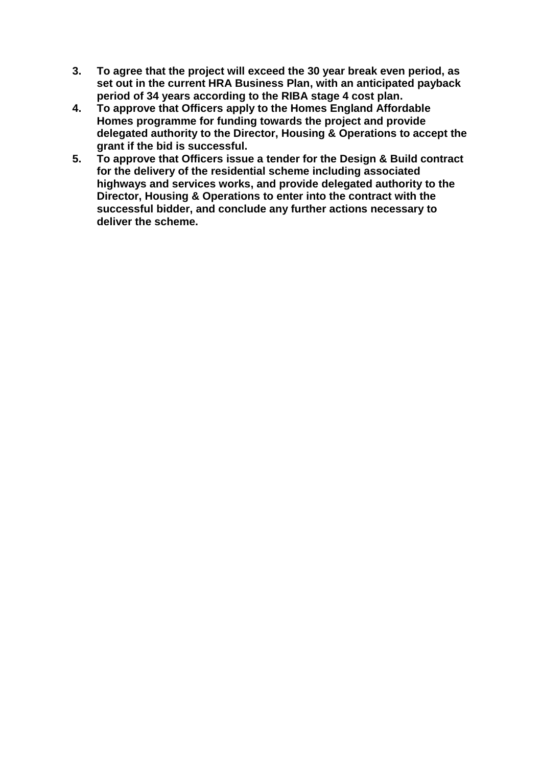- **3. To agree that the project will exceed the 30 year break even period, as set out in the current HRA Business Plan, with an anticipated payback period of 34 years according to the RIBA stage 4 cost plan.**
- **4. To approve that Officers apply to the Homes England Affordable Homes programme for funding towards the project and provide delegated authority to the Director, Housing & Operations to accept the grant if the bid is successful.**
- **5. To approve that Officers issue a tender for the Design & Build contract for the delivery of the residential scheme including associated highways and services works, and provide delegated authority to the Director, Housing & Operations to enter into the contract with the successful bidder, and conclude any further actions necessary to deliver the scheme.**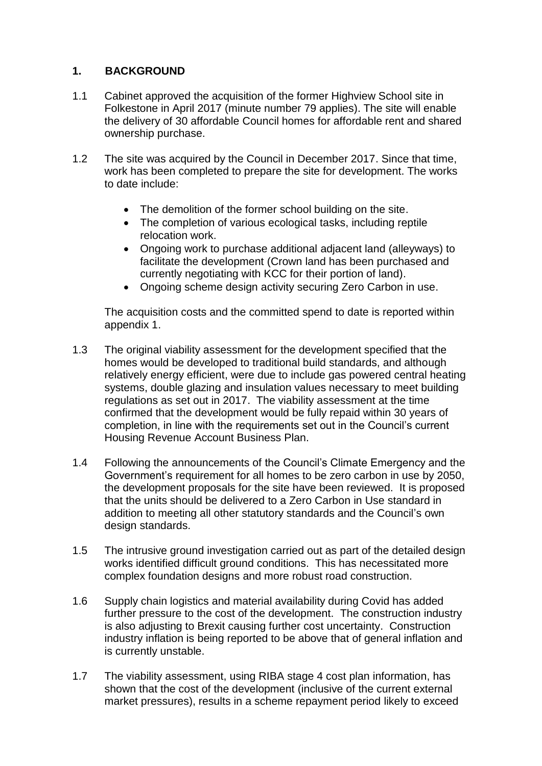# **1. BACKGROUND**

- 1.1 Cabinet approved the acquisition of the former Highview School site in Folkestone in April 2017 (minute number 79 applies). The site will enable the delivery of 30 affordable Council homes for affordable rent and shared ownership purchase.
- 1.2 The site was acquired by the Council in December 2017. Since that time, work has been completed to prepare the site for development. The works to date include:
	- The demolition of the former school building on the site.
	- The completion of various ecological tasks, including reptile relocation work.
	- Ongoing work to purchase additional adjacent land (alleyways) to facilitate the development (Crown land has been purchased and currently negotiating with KCC for their portion of land).
	- Ongoing scheme design activity securing Zero Carbon in use.

The acquisition costs and the committed spend to date is reported within appendix 1.

- 1.3 The original viability assessment for the development specified that the homes would be developed to traditional build standards, and although relatively energy efficient, were due to include gas powered central heating systems, double glazing and insulation values necessary to meet building regulations as set out in 2017. The viability assessment at the time confirmed that the development would be fully repaid within 30 years of completion, in line with the requirements set out in the Council's current Housing Revenue Account Business Plan.
- 1.4 Following the announcements of the Council's Climate Emergency and the Government's requirement for all homes to be zero carbon in use by 2050, the development proposals for the site have been reviewed. It is proposed that the units should be delivered to a Zero Carbon in Use standard in addition to meeting all other statutory standards and the Council's own design standards.
- 1.5 The intrusive ground investigation carried out as part of the detailed design works identified difficult ground conditions. This has necessitated more complex foundation designs and more robust road construction.
- 1.6 Supply chain logistics and material availability during Covid has added further pressure to the cost of the development. The construction industry is also adjusting to Brexit causing further cost uncertainty. Construction industry inflation is being reported to be above that of general inflation and is currently unstable.
- 1.7 The viability assessment, using RIBA stage 4 cost plan information, has shown that the cost of the development (inclusive of the current external market pressures), results in a scheme repayment period likely to exceed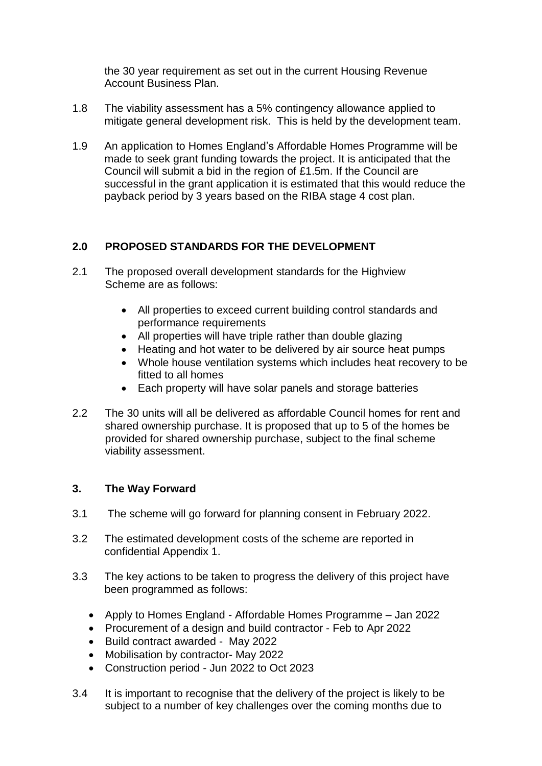the 30 year requirement as set out in the current Housing Revenue Account Business Plan.

- 1.8 The viability assessment has a 5% contingency allowance applied to mitigate general development risk. This is held by the development team.
- 1.9 An application to Homes England's Affordable Homes Programme will be made to seek grant funding towards the project. It is anticipated that the Council will submit a bid in the region of £1.5m. If the Council are successful in the grant application it is estimated that this would reduce the payback period by 3 years based on the RIBA stage 4 cost plan.

# **2.0 PROPOSED STANDARDS FOR THE DEVELOPMENT**

- 2.1 The proposed overall development standards for the Highview Scheme are as follows:
	- All properties to exceed current building control standards and performance requirements
	- All properties will have triple rather than double glazing
	- Heating and hot water to be delivered by air source heat pumps
	- Whole house ventilation systems which includes heat recovery to be fitted to all homes
	- Each property will have solar panels and storage batteries
- 2.2 The 30 units will all be delivered as affordable Council homes for rent and shared ownership purchase. It is proposed that up to 5 of the homes be provided for shared ownership purchase, subject to the final scheme viability assessment.

# **3. The Way Forward**

- 3.1 The scheme will go forward for planning consent in February 2022.
- 3.2 The estimated development costs of the scheme are reported in confidential Appendix 1.
- 3.3 The key actions to be taken to progress the delivery of this project have been programmed as follows:
	- Apply to Homes England Affordable Homes Programme Jan 2022
	- Procurement of a design and build contractor Feb to Apr 2022
	- Build contract awarded May 2022
	- Mobilisation by contractor- May 2022
	- Construction period Jun 2022 to Oct 2023
- 3.4 It is important to recognise that the delivery of the project is likely to be subject to a number of key challenges over the coming months due to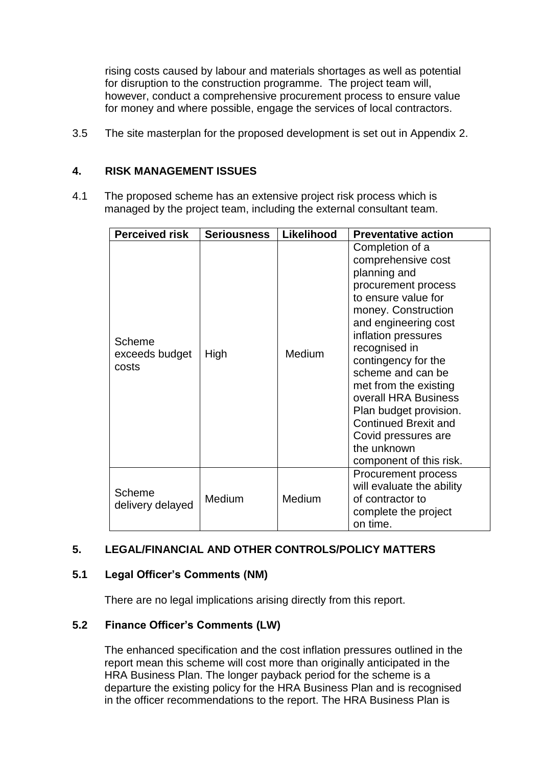rising costs caused by labour and materials shortages as well as potential for disruption to the construction programme. The project team will, however, conduct a comprehensive procurement process to ensure value for money and where possible, engage the services of local contractors.

3.5 The site masterplan for the proposed development is set out in Appendix 2.

# **4. RISK MANAGEMENT ISSUES**

4.1 The proposed scheme has an extensive project risk process which is managed by the project team, including the external consultant team.

| <b>Perceived risk</b>             | <b>Seriousness</b> | Likelihood    | <b>Preventative action</b>                                                                                                                                                                                                                                                                                                                                                                                        |
|-----------------------------------|--------------------|---------------|-------------------------------------------------------------------------------------------------------------------------------------------------------------------------------------------------------------------------------------------------------------------------------------------------------------------------------------------------------------------------------------------------------------------|
| Scheme<br>exceeds budget<br>costs | High               | <b>Medium</b> | Completion of a<br>comprehensive cost<br>planning and<br>procurement process<br>to ensure value for<br>money. Construction<br>and engineering cost<br>inflation pressures<br>recognised in<br>contingency for the<br>scheme and can be<br>met from the existing<br>overall HRA Business<br>Plan budget provision.<br><b>Continued Brexit and</b><br>Covid pressures are<br>the unknown<br>component of this risk. |
| <b>Scheme</b><br>delivery delayed | Medium             | Medium        | Procurement process<br>will evaluate the ability<br>of contractor to<br>complete the project<br>on time.                                                                                                                                                                                                                                                                                                          |

# **5. LEGAL/FINANCIAL AND OTHER CONTROLS/POLICY MATTERS**

# **5.1 Legal Officer's Comments (NM)**

There are no legal implications arising directly from this report.

# **5.2 Finance Officer's Comments (LW)**

The enhanced specification and the cost inflation pressures outlined in the report mean this scheme will cost more than originally anticipated in the HRA Business Plan. The longer payback period for the scheme is a departure the existing policy for the HRA Business Plan and is recognised in the officer recommendations to the report. The HRA Business Plan is